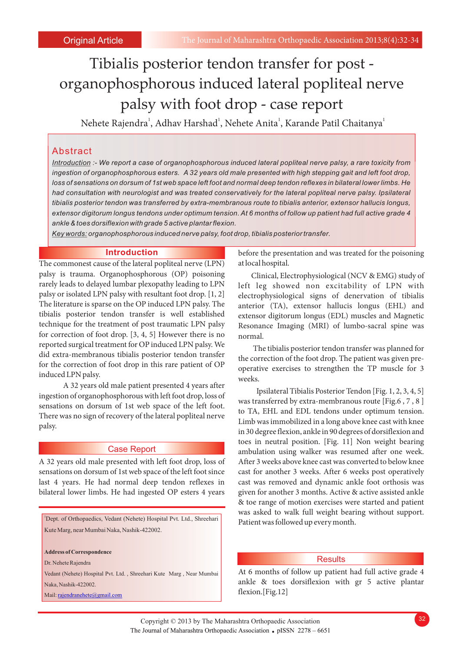# Tibialis posterior tendon transfer for post organophosphorous induced lateral popliteal nerve palsy with foot drop - case report

Nehete Rajendra<sup>1</sup>, Adhav Harshad<sup>1</sup>, Nehete Anita<sup>1</sup>, Karande Patil Chaitanya<sup>1</sup>

# Abstract

*Introduction :- We report a case of organophosphorous induced lateral popliteal nerve palsy, a rare toxicity from ingestion of organophosphorous esters. A 32 years old male presented with high stepping gait and left foot drop, loss of sensations on dorsum of 1st web space left foot and normal deep tendon reflexes in bilateral lower limbs. He*  had consultation with neurologist and was treated conservatively for the lateral popliteal nerve palsy. Ipsilateral *tibialis posterior tendon was transferred by extra-membranous route to tibialis anterior, extensor hallucis longus, extensor digitorum longus tendons under optimum tension. At 6 months of follow up patient had full active grade 4 ankle & toes dorsiflexion with grade 5 active plantar flexion.*

*Key words: organophosphorous induced nerve palsy, foot drop, tibialis posterior transfer.*

## **Introduction**

The commonest cause of the lateral popliteal nerve (LPN) palsy is trauma. Organophosphorous (OP) poisoning rarely leads to delayed lumbar plexopathy leading to LPN palsy or isolated LPN palsy with resultant foot drop. [1, 2] The literature is sparse on the OP induced LPN palsy. The tibialis posterior tendon transfer is well established technique for the treatment of post traumatic LPN palsy for correction of foot drop. [3, 4, 5] However there is no reported surgical treatment for OP induced LPN palsy. We did extra-membranous tibialis posterior tendon transfer for the correction of foot drop in this rare patient of OP induced LPN palsy.

A 32 years old male patient presented 4 years after ingestion of organophosphorous with left foot drop, loss of sensations on dorsum of 1st web space of the left foot. There was no sign of recovery of the lateral popliteal nerve palsy.

## Case Report

last 4 years. He had normal deep tendon reflexes in cast was removed and dynamic ankle foot orthosis was bilateral lower limbs. He had ingested OP esters 4 years given for another 3 months. Active & active assisted ankle

<sup>1</sup>Dept. of Orthopaedics, Vedant (Nehete) Hospital Pvt. Ltd., Shreehari Kute Marg, near Mumbai Naka, Nashik-422002.

**Address of Correspondence**

Dr. Nehete Rajendra

Vedant (Nehete) Hospital Pvt. Ltd. , Shreehari Kute Marg , Near Mumbai Naka, Nashik-422002.

Mail: rajendranehete@gmail.com

before the presentation and was treated for the poisoning at local hospital.

Clinical, Electrophysiological (NCV & EMG) study of left leg showed non excitability of LPN with electrophysiological signs of denervation of tibialis anterior (TA), extensor hallucis longus (EHL) and extensor digitorum longus (EDL) muscles and Magnetic Resonance Imaging (MRI) of lumbo-sacral spine was normal.

The tibialis posterior tendon transfer was planned for the correction of the foot drop. The patient was given preoperative exercises to strengthen the TP muscle for 3 weeks.

Ipsilateral Tibialis Posterior Tendon [Fig. 1, 2, 3, 4, 5] was transferred by extra-membranous route [Fig.6 , 7 , 8 ] to TA, EHL and EDL tendons under optimum tension. Limb was immobilized in a long above knee cast with knee in 30 degree flexion, ankle in 90 degrees of dorsiflexion and toes in neutral position. [Fig. 11] Non weight bearing ambulation using walker was resumed after one week. A 32 years old male presented with left foot drop, loss of After 3 weeks above knee cast was converted to below knee sensations on dorsum of 1st web space of the left foot since cast for another 3 weeks. After 6 weeks post operatively & toe range of motion exercises were started and patient was asked to walk full weight bearing without support. Patient was followed up every month.

#### **Results**

At 6 months of follow up patient had full active grade 4 ankle & toes dorsiflexion with gr 5 active plantar flexion.[Fig.12]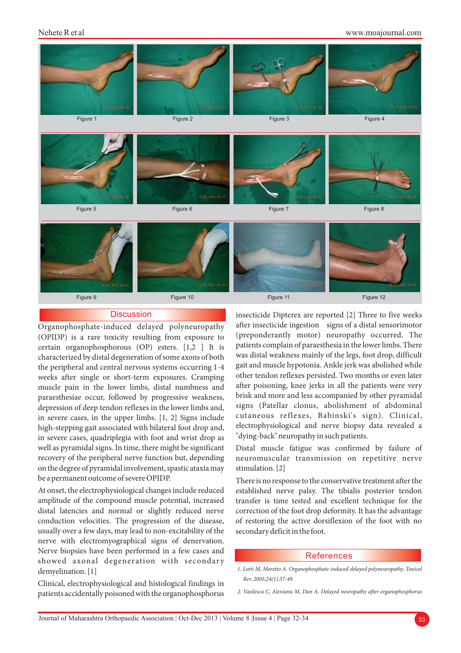#### Nehete R et al

www.moajournal.com



# **Discussion**

certain organophosphorous (OP) esters.  $[1,2]$  It is weeks after single or short-term exposures. Cramping depression of deep tendon reflexes in the lower limbs and, in severe cases, in the upper limbs. [1, 2] Signs include in severe cases, quadriplegia with foot and wrist drop as well as pyramidal signs. In time, there might be significant Distal muscle fatigue was confirmed by failure of recovery of the peripheral nerve function but, depending neuromuscular transmission on repetitive nerve on the degree of pyramidal involvement, spastic ataxia may stimulation. [2] be a permanent outcome of severe OPIDP. There is no response to the conservative treatment after the

At onset, the electrophysiological changes include reduced established nerve palsy. The tibialis posterior tendon amplitude of the compound muscle potential, increased transfer is time tested and excellent technique for the distal latencies and normal or slightly reduced nerve correction of the foot drop deformity. It has the advantage conduction velocities. The progression of the disease, of restoring the active dorsiflexion of the foot with no usually over a few days, may lead to non-excitability of the secondary deficit in the foot. nerve with electromyographical signs of denervation. Nerve biopsies have been performed in a few cases and showed axonal degeneration with secondary demyelination. [1]

Clinical, electrophysiological and histological findings in patients accidentally poisoned with the organophosphorus

insecticide Dipterex are reported [2] Three to five weeks Organophosphate-induced delayed polyneuropathy after insecticide ingestion signs of a distal sensorimotor (OPIDP) is a rare toxicity resulting from exposure to (preponderantly motor) neuropathy occurred. The certain organophosphorous (OP) esters  $\begin{bmatrix} 1 & 2 \\ 1 & 1 \\ 1 & 1 \end{bmatrix}$  is patients complain of paraesthesia in the lower characterized by distal degeneration of some axons of both was distal weakness mainly of the legs, foot drop, difficult<br>the peripheral and central nervous systems occurring 1-4 gait and muscle hypotonia. Ankle jerk was abo the peripheral and central nervous systems occurring 1-4 gait and muscle hypotonia. Ankle jerk was abolished while<br>weeks after single or short-term exposures Cramping other tendon reflexes persisted. Two months or even lat muscle pain in the lower limbs, distal numbness and after poisoning, knee jerks in all the patients were very paraesthesiae occur followed by progressive weakness brisk and more and less accompanied by other pyramidal paraesthesiae occur, followed by progressive weakness, brisk and more and less accompanied by other pyramidal<br>depression of deep tendon reflexes in the lower limbs and signs (Patellar clonus, abolishment of abdominal cutaneous reflexes, Babinski's sign). Clinical, high-stepping gait associated with bilateral foot drop and, electrophysiological and nerve biopsy data revealed a in severe cases, quadriplegia with foot and wrist drop as "dying-back" neuropathy in such patients.

#### References

*1. Lotti M, Moretto A. Organophosphate-induced delayed polyneuropathy. Toxicol Rev. 2005;24(1):37-49.*

*<sup>2.</sup> Vasilescu C, Alexianu M, Dan A. Delayed neuropathy after organophosphorus*